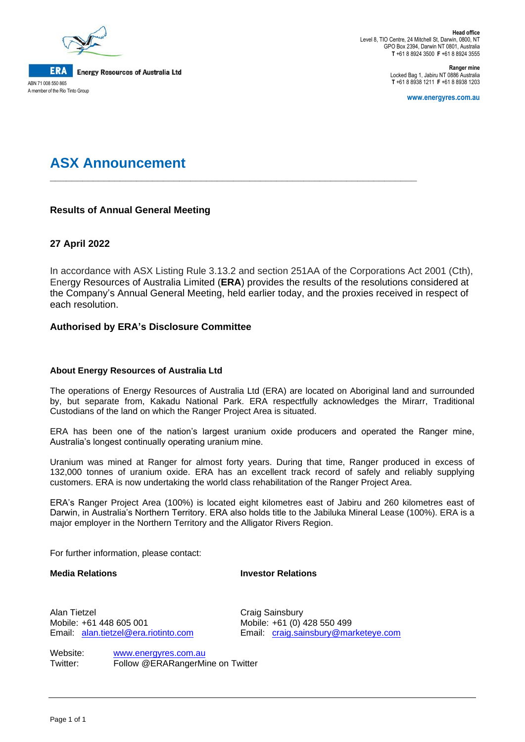

ABN 71 008 550 865 A member of the Rio Tinto Group

**Head office** Level 8, TIO Centre, 24 Mitchell St, Darwin, 0800, NT GPO Box 2394, Darwin NT 0801, Australia **T** +61 8 8924 3500 **F** +61 8 8924 3555

> **Ranger mine** Locked Bag 1, Jabiru NT 0886 Australia **T** +61 8 8938 1211 **F** +61 8 8938 1203

> > **www.energyres.com.au**

# **ASX Announcement**

### **Results of Annual General Meeting**

## **27 April 2022**

In accordance with ASX Listing Rule 3.13.2 and section 251AA of the Corporations Act 2001 (Cth), Energy Resources of Australia Limited (**ERA**) provides the results of the resolutions considered at the Company's Annual General Meeting, held earlier today, and the proxies received in respect of each resolution.

**\_\_\_\_\_\_\_\_\_\_\_\_\_\_\_\_\_\_\_\_\_\_\_\_\_\_\_\_\_\_\_\_\_\_\_\_\_\_\_\_\_\_\_\_\_\_\_\_\_\_\_\_\_\_\_\_\_\_\_\_\_\_\_\_\_\_\_\_**

### **Authorised by ERA's Disclosure Committee**

#### **About Energy Resources of Australia Ltd**

The operations of Energy Resources of Australia Ltd (ERA) are located on Aboriginal land and surrounded by, but separate from, Kakadu National Park. ERA respectfully acknowledges the Mirarr, Traditional Custodians of the land on which the Ranger Project Area is situated.

ERA has been one of the nation's largest uranium oxide producers and operated the Ranger mine, Australia's longest continually operating uranium mine.

Uranium was mined at Ranger for almost forty years. During that time, Ranger produced in excess of 132,000 tonnes of uranium oxide. ERA has an excellent track record of safely and reliably supplying customers. ERA is now undertaking the world class rehabilitation of the Ranger Project Area.

ERA's Ranger Project Area (100%) is located eight kilometres east of Jabiru and 260 kilometres east of Darwin, in Australia's Northern Territory. ERA also holds title to the Jabiluka Mineral Lease (100%). ERA is a major employer in the Northern Territory and the Alligator Rivers Region.

For further information, please contact:

**Media Relations Investor Relations**

Alan Tietzel **Craig Sainsbury** Mobile: +61 448 605 001 Mobile: +61 (0) 428 550 499

Email: [alan.tietzel@era.riotinto.com](mailto:alan.tietzel@era.riotinto.com) Email: [craig.sainsbury@marketeye.com](mailto:craig.sainsbury@marketeye.com)

Website: [www.energyres.com.au](http://www.energyres.com.au/) Twitter: Follow @ERARangerMine on Twitter